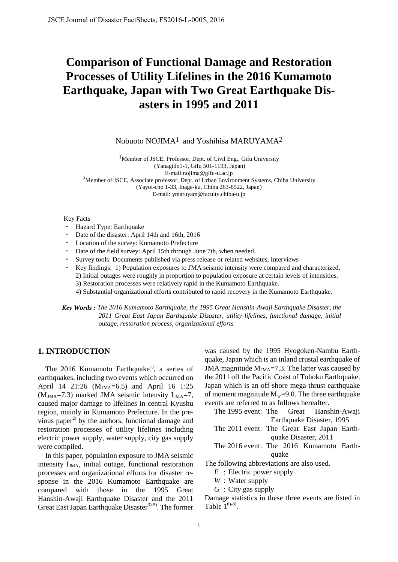# **Comparison of Functional Damage and Restoration Processes of Utility Lifelines in the 2016 Kumamoto Earthquake, Japan with Two Great Earthquake Disasters in 1995 and 2011**

Nobuoto NOJIMA1 and Yoshihisa MARUYAMA2

1Member of JSCE, Professor, Dept. of Civil Eng., Gifu University (Yanagido1-1, Gifu 501-1193, Japan) E-mail:nojima@gifu-u.ac.jp 2Member of JSCE, Associate professor, Dept. of Urban Environment Systems, Chiba University (Yayoi-cho 1-33, Inage-ku, Chiba 263-8522, Japan) E-mail: ymaruyam@faculty.chiba-u.jp

#### Key Facts

- Hazard Type: Earthquake
- Date of the disaster: April 14th and 16th, 2016
- Location of the survey: Kumamoto Prefecture
- Date of the field survey: April 15th through June 7th, when needed.
- Survey tools: Documents published via press release or related websites, Interviews
- ・ Key findings: 1) Population exposures to JMA seismic intensity were compared and characterized. 2) Initial outages were roughly in proportion to population exposure at certain levels of intensities.
	- 3) Restoration processes were relatively rapid in the Kumamoto Earthquake.

4) Substantial organizational efforts contributed to rapid recovery in the Kumamoto Earthquake.

 *Key Words : The 2016 Kumamoto Earthquake, the 1995 Great Hanshin-Awaji Earthquake Disaster, the 2011 Great East Japan Earthquake Disaster, utility lifelines, functional damage, initial outage, restoration process, organizational efforts*

# **1. INTRODUCTION**

The 2016 Kumamoto Earthquake<sup>1)</sup>, a series of earthquakes, including two events which occurred on April 14 21:26 ( $M_{JMA} = 6.5$ ) and April 16 1:25  $(M<sub>JMA</sub>=7.3)$  marked JMA seismic intensity  $I<sub>JMA</sub>=7$ , caused major damage to lifelines in central Kyushu region, mainly in Kumamoto Prefecture. In the previous paper<sup>2)</sup> by the authors, functional damage and restoration processes of utility lifelines including electric power supply, water supply, city gas supply were compiled.

In this paper, population exposure to JMA seismic intensity  $I_{\text{MA}}$ , initial outage, functional restoration processes and organizational efforts for disaster response in the 2016 Kumamoto Earthquake are compared with those in the 1995 Great Hanshin-Awaji Earthquake Disaster and the 2011 Great East Japan Earthquake Disaster<sup>3)-5)</sup>. The former

was caused by the 1995 Hyogoken-Nambu Earthquake, Japan which is an inland crustal earthquake of JMA magnitude  $M_{JMA}$ =7.3. The latter was caused by the 2011 off the Pacific Coast of Tohoku Earthquake, Japan which is an off-shore mega-thrust earthquake of moment magnitude  $M_w=9.0$ . The three earthquake events are referred to as follows hereafter.

- The 1995 event: The Great Hanshin-Awaji Earthquake Disaster, 1995
- The 2011 event: The Great East Japan Earthquake Disaster, 2011
- The 2016 event: The 2016 Kumamoto Earthquake

The following abbreviations are also used.

- *E* : Electric power supply
- *W* : Water supply
- *G* : City gas supply

Damage statistics in these three events are listed in Table  $1^{6,-8}$ .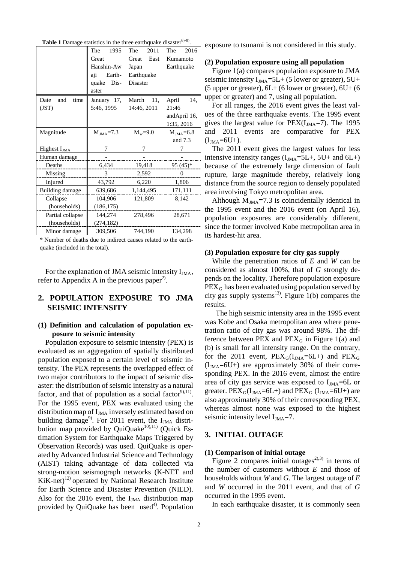| Table 1 Damage statistics in the three earthquake disaster $6^{(3-8)}$ . |  |  |
|--------------------------------------------------------------------------|--|--|
|--------------------------------------------------------------------------|--|--|

| <b>Radic 1</b> Daniago statistics in the time cartingulate disaster |               |               |                |
|---------------------------------------------------------------------|---------------|---------------|----------------|
|                                                                     | The<br>1995   | The<br>2011   | The<br>2016    |
|                                                                     | Great         | East<br>Great | Kumamoto       |
|                                                                     | Hanshin-Aw    | Japan         | Earthquake     |
|                                                                     | aji<br>Earth- | Earthquake    |                |
|                                                                     | Dis-<br>quake | Disaster      |                |
|                                                                     | aster         |               |                |
| time<br>Date<br>and                                                 | January 17,   | March<br>11,  | April<br>14.   |
| (JST)                                                               | 5:46, 1995    | 14:46, 2011   | 21:46          |
|                                                                     |               |               | andApril 16,   |
|                                                                     |               |               | 1:35, 2016     |
| Magnitude                                                           | $MJMA=7.3$    | $M_{w} = 9.0$ | $MJMA=6.8$     |
|                                                                     |               |               | and $7.3$      |
| Highest I <sub>JMA</sub>                                            | 7             | 7             | 7              |
| Human damage                                                        |               |               |                |
| Deaths                                                              | 6,434         | 19,418        | 95 $(45)*$     |
| Missing                                                             | 3             | 2,592         | $\overline{0}$ |
| Injured                                                             | 43,792        | 6,220         | 1,806          |
| <b>Building damage</b>                                              | 639,686       | 1,144,495     | 171,111        |
| Collapse                                                            | 104,906       | 121,809       | 8,142          |
| (households)                                                        | (186, 175)    |               |                |
| Partial collapse                                                    | 144,274       | 278,496       | 28,671         |
| (households)                                                        | (274, 182)    |               |                |
| Minor damage                                                        | 309,506       | 744,190       | 134,298        |

\* Number of deaths due to indirect causes related to the earthquake (included in the total).

For the explanation of JMA seismic intensity  $I_{JMA}$ , refer to Appendix A in the previous paper<sup>2)</sup>.

# **2. POPULATION EXPOSURE TO JMA SEISMIC INTENSITY**

## **(1) Definition and calculation of population exposure to seismic intensity**

Population exposure to seismic intensity (PEX) is evaluated as an aggregation of spatially distributed population exposed to a certain level of seismic intensity. The PEX represents the overlapped effect of two major contributors to the impact of seismic disaster: the distribution of seismic intensity as a natural factor, and that of population as a social factor<sup>9),11</sup>. For the 1995 event, PEX was evaluated using the distribution map of  $I_{\text{MA}}$  inversely estimated based on building damage<sup>9</sup>. For 2011 event, the  $I<sub>JMA</sub>$  distribution map provided by QuiQuake $^{10,11)}$  (Quick Estimation System for Earthquake Maps Triggered by Observation Records) was used. QuiQuake is operated by Advanced Industrial Science and Technology (AIST) taking advantage of data collected via strong-motion seismograph networks (K-NET and  $KiK-net)^{12}$  operated by National Research Institute for Earth Science and Disaster Prevention (NIED). Also for the 2016 event, the  $I_{JMA}$  distribution map provided by QuiQuake has been used<sup>4)</sup>. Population

exposure to tsunami is not considered in this study.

## **(2) Population exposure using all population**

Figure 1(a) compares population exposure to JMA seismic intensity  $I_{JMA}$ =5L+ (5 lower or greater), 5U+ (5 upper or greater),  $6L+$  (6 lower or greater),  $6U+$  (6 upper or greater) and 7, using all population.

For all ranges, the 2016 event gives the least values of the three earthquake events. The 1995 event gives the largest value for  $PEX(I<sub>IMA</sub>=7)$ . The 1995 and 2011 events are comparative for PEX  $(I<sub>JMA</sub>=6U+).$ 

The 2011 event gives the largest values for less intensive intensity ranges  $(I_{\text{MA}}=5L+$ ,  $5U+$  and  $6L+$ ) because of the extremely large dimension of fault rupture, large magnitude thereby, relatively long distance from the source region to densely populated area involving Tokyo metropolitan area.

Although  $M<sub>JMA</sub>=7.3$  is coincidentally identical in the 1995 event and the 2016 event (on April 16), population exposures are considerably different, since the former involved Kobe metropolitan area in its hardest-hit area.

## **(3) Population exposure for city gas supply**

While the penetration ratios of *E* and *W* can be considered as almost 100%, that of *G* strongly depends on the locality. Therefore population exposure PEX<sub>G</sub> has been evaluated using population served by city gas supply systems<sup>13</sup>. Figure 1(b) compares the results.

The high seismic intensity area in the 1995 event was Kobe and Osaka metropolitan area where penetration ratio of city gas was around 98%. The difference between  $PEX$  and  $PEX_G$  in Figure 1(a) and (b) is small for all intensity range. On the contrary, for the 2011 event,  $PEX_G(I_{JMA}=6L+)$  and  $PEX_G$  $(I<sub>IMA</sub>=6U+)$  are approximately 30% of their corresponding PEX. In the 2016 event, almost the entire area of city gas service was exposed to IJMA=6L or greater.  $PEX_G(I_{JMA}=6L+)$  and  $PEX_G(I_{JMA}=6U+)$  are also approximately 30% of their corresponding PEX, whereas almost none was exposed to the highest seismic intensity level  $I_{JMA}$ =7.

# **3. INITIAL OUTAGE**

## **(1) Comparison of initial outage**

Figure 2 compares initial outages<sup>2),3)</sup> in terms of the number of customers without *E* and those of households without *W* and *G*. The largest outage of *E* and *W* occurred in the 2011 event, and that of *G* occurred in the 1995 event.

In each earthquake disaster, it is commonly seen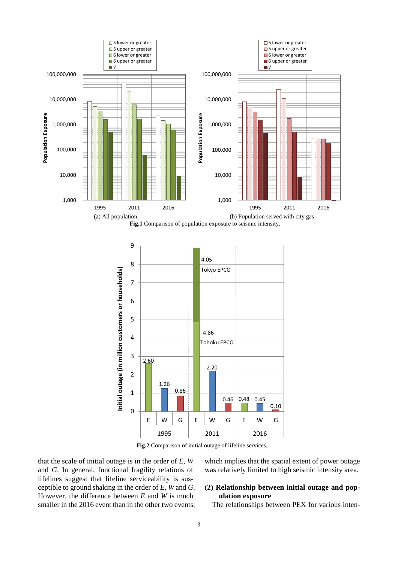



**Fig.2** Comparison of initial outage of lifeline services.

that the scale of initial outage is in the order of *E*, *W* and *G*. In general, functional fragility relations of lifelines suggest that lifeline serviceability is susceptible to ground shaking in the order of *E*, *W* and *G*. However, the difference between *E* and *W* is much smaller in the 2016 event than in the other two events, which implies that the spatial extent of power outage was relatively limited to high seismic intensity area.

# **(2) Relationship between initial outage and population exposure**

The relationships between PEX for various inten-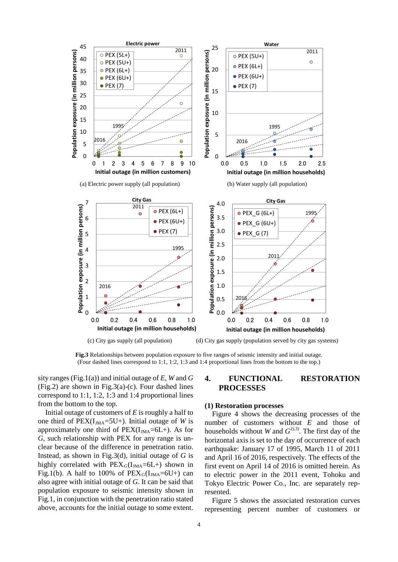

**Fig.3** Relationships between population exposure to five ranges of seismic intensity and initial outage. (Four dashed lines correspond to 1:1, 1:2, 1:3 and 1:4 proportional lines from the bottom to the top.)

sity ranges (Fig.1(a)) and initial outage of *E*, *W* and *G*  $(Fig.2)$  are shown in Fig.3(a)-(c). Four dashed lines correspond to 1:1, 1:2, 1:3 and 1:4 proportional lines from the bottom to the top.

Initial outage of customers of *E* is roughly a half to one third of  $PEX(I<sub>IMA</sub>=5U+)$ . Initial outage of *W* is approximately one third of  $PEX(I<sub>JMA</sub>=6L+)$ . As for *G*, such relationship with PEX for any range is unclear because of the difference in penetration ratio. Instead, as shown in Fig.3(d), initial outage of *G* is highly correlated with  $PEX_G(I_{JMA}=6L+)$  shown in Fig.1(b). A half to 100% of  $PEX_G(I_{JMA}=6U+)$  can also agree with initial outage of *G*. It can be said that population exposure to seismic intensity shown in Fig.1, in conjunction with the penetration ratio stated above, accounts for the initial outage to some extent.

# **4. FUNCTIONAL RESTORATION PROCESSES**

### **(1) Restoration processes**

Figure 4 shows the decreasing processes of the number of customers without  $E$  and those of households without *W* and  $G^{2,3}$ . The first day of the horizontal axis is set to the day of occurrence of each earthquake: January 17 of 1995, March 11 of 2011 and April 16 of 2016, respectively. The effects of the first event on April 14 of 2016 is omitted herein. As to electric power in the 2011 event, Tohoku and Tokyo Electric Power Co., Inc. are separately represented.

Figure 5 shows the associated restoration curves representing percent number of customers or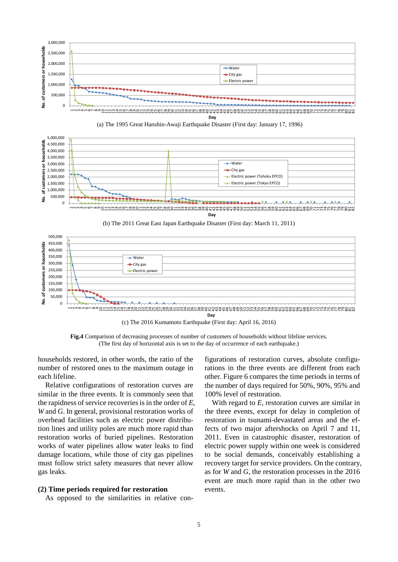





**Fig.4** Comparison of decreasing processes of number of customers of households without lifeline services. (The first day of horizontal axis is set to the day of occurrence of each earthquake.)

households restored, in other words, the ratio of the number of restored ones to the maximum outage in each lifeline.

Relative configurations of restoration curves are similar in the three events. It is commonly seen that the rapidness of service recoveries is in the order of *E*, *W* and *G*. In general, provisional restoration works of overhead facilities such as electric power distribution lines and utility poles are much more rapid than restoration works of buried pipelines. Restoration works of water pipelines allow water leaks to find damage locations, while those of city gas pipelines must follow strict safety measures that never allow gas leaks.

#### **(2) Time periods required for restoration**

As opposed to the similarities in relative con-

figurations of restoration curves, absolute configurations in the three events are different from each other. Figure 6 compares the time periods in terms of the number of days required for 50%, 90%, 95% and 100% level of restoration.

With regard to *E*, restoration curves are similar in the three events, except for delay in completion of restoration in tsunami-devastated areas and the effects of two major aftershocks on April 7 and 11, 2011. Even in catastrophic disaster, restoration of electric power supply within one week is considered to be social demands, conceivably establishing a recovery target for service providers. On the contrary, as for *W* and *G*, the restoration processes in the 2016 event are much more rapid than in the other two events.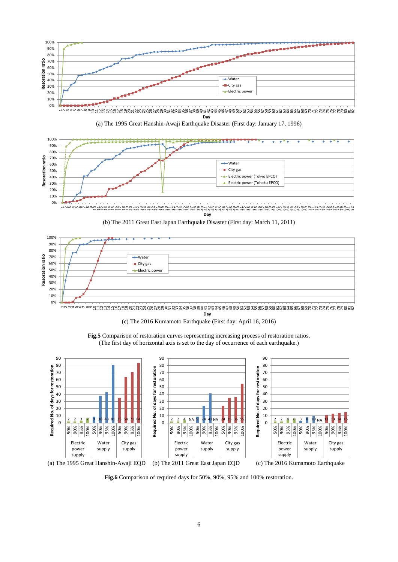

מממש לא האופר מספט של האופרים של האופרים המותח המשפח האופר המשפח המשפח האופרים המשפח המשפח המשפח המשפח המשפח ה<br>משפח האופרים המשפח המשפח המשפח המשפח המשפח המשפח המשפח המשפח המשפח המשפח המשפח המשפח המשפח המשפח המשפח המשפח ה **Day**

(a) The 1995 Great Hanshin-Awaji Earthquake Disaster (First day: January 17, 1996)

 $\mathbf -$ 







מממש האופרומה המוחים המוחים המוחים המוחמות המוחמות המוחים המוחמות המוחמות המוחמות המוחמות המוחמות המוחמות המוח<br>מממש המוחמות המוחמות המוחמות המוחמות המוחמות המוחמות המוחמות המוחמות המוחמות המוחמות המוחמות המוחמות המוחמות ה **Day**





**Fig.5** Comparison of restoration curves representing increasing process of restoration ratios. (The first day of horizontal axis is set to the day of occurrence of each earthquake.)

**Fig.6** Comparison of required days for 50%, 90%, 95% and 100% restoration.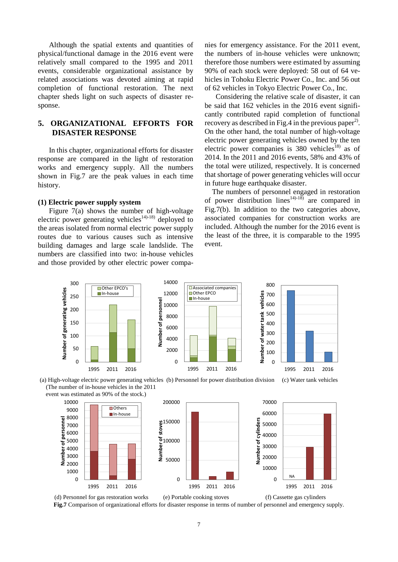Although the spatial extents and quantities of physical/functional damage in the 2016 event were relatively small compared to the 1995 and 2011 events, considerable organizational assistance by related associations was devoted aiming at rapid completion of functional restoration. The next chapter sheds light on such aspects of disaster response.

# **5. ORGANIZATIONAL EFFORTS FOR DISASTER RESPONSE**

 In this chapter, organizational efforts for disaster response are compared in the light of restoration works and emergency supply. All the numbers shown in Fig.7 are the peak values in each time history.

## **(1) Electric power supply system**

Figure 7(a) shows the number of high-voltage electric power generating vehicles<sup>14)-18)</sup> deployed to the areas isolated from normal electric power supply routes due to various causes such as intensive building damages and large scale landslide. The numbers are classified into two: in-house vehicles and those provided by other electric power companies for emergency assistance. For the 2011 event, the numbers of in-house vehicles were unknown; therefore those numbers were estimated by assuming 90% of each stock were deployed: 58 out of 64 vehicles in Tohoku Electric Power Co., Inc. and 56 out of 62 vehicles in Tokyo Electric Power Co., Inc.

Considering the relative scale of disaster, it can be said that 162 vehicles in the 2016 event significantly contributed rapid completion of functional recovery as described in Fig.4 in the previous paper<sup>2)</sup>. On the other hand, the total number of high-voltage electric power generating vehicles owned by the ten electric power companies is  $380$  vehicles<sup>18)</sup> as of 2014. In the 2011 and 2016 events, 58% and 43% of the total were utilized, respectively. It is concerned that shortage of power generating vehicles will occur in future huge earthquake disaster.

The numbers of personnel engaged in restoration of power distribution lines<sup>14)-18)</sup> are compared in Fig.7(b). In addition to the two categories above, associated companies for construction works are included. Although the number for the 2016 event is the least of the three, it is comparable to the 1995 event.







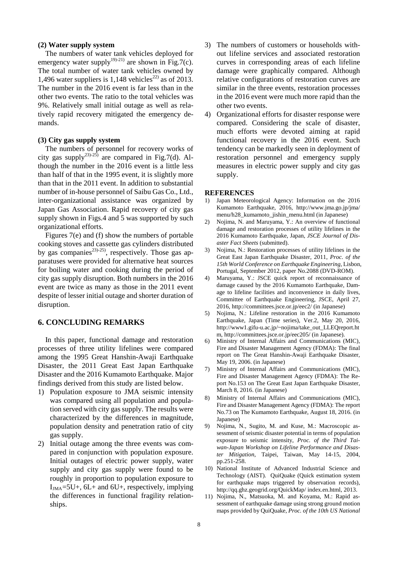### **(2) Water supply system**

The numbers of water tank vehicles deployed for emergency water supply<sup>19)-21)</sup> are shown in Fig.7(c). The total number of water tank vehicles owned by 1,496 water suppliers is  $1,148$  vehicles<sup>22)</sup> as of 2013. The number in the 2016 event is far less than in the other two events. The ratio to the total vehicles was 9%. Relatively small initial outage as well as relatively rapid recovery mitigated the emergency demands.

#### **(3) City gas supply system**

The numbers of personnel for recovery works of city gas supply<sup>23)-25</sup> are compared in Fig.7(d). Although the number in the 2016 event is a little less than half of that in the 1995 event, it is slightly more than that in the 2011 event. In addition to substantial number of in-house personnel of Saibu Gas Co., Ltd., inter-organizational assistance was organized by Japan Gas Association. Rapid recovery of city gas supply shown in Figs.4 and 5 was supported by such organizational efforts.

Figures 7(e) and (f) show the numbers of portable cooking stoves and cassette gas cylinders distributed by gas companies<sup>23 $-25$ </sup>, respectively. Those gas apparatuses were provided for alternative heat sources for boiling water and cooking during the period of city gas supply disruption. Both numbers in the 2016 event are twice as many as those in the 2011 event despite of lesser initial outage and shorter duration of disruption.

## **6. CONCLUDING REMARKS**

 In this paper, functional damage and restoration processes of three utility lifelines were compared among the 1995 Great Hanshin-Awaji Earthquake Disaster, the 2011 Great East Japan Earthquake Disaster and the 2016 Kumamoto Earthquake. Major findings derived from this study are listed below.

- 1) Population exposure to JMA seismic intensity was compared using all population and population served with city gas supply. The results were characterized by the differences in magnitude, population density and penetration ratio of city gas supply.
- 2) Initial outage among the three events was compared in conjunction with population exposure. Initial outages of electric power supply, water supply and city gas supply were found to be roughly in proportion to population exposure to  $I<sub>JMA</sub>=5U+$ , 6L+ and 6U+, respectively, implying the differences in functional fragility relationships.
- 3) The numbers of customers or households without lifeline services and associated restoration curves in corresponding areas of each lifeline damage were graphically compared. Although relative configurations of restoration curves are similar in the three events, restoration processes in the 2016 event were much more rapid than the other two events.
- 4) Organizational efforts for disaster response were compared. Considering the scale of disaster, much efforts were devoted aiming at rapid functional recovery in the 2016 event. Such tendency can be markedly seen in deployment of restoration personnel and emergency supply measures in electric power supply and city gas supply.

### **REFERENCES**

- 1) Japan Meteorological Agency: Information on the 2016 Kumamoto Earthquake, 2016, http://www.jma.go.jp/jma/ menu/h28\_kumamoto\_jishin\_menu.html (in Japanese)
- 2) Nojima, N. and Maruyama, Y.: An overview of functional damage and restoration processes of utility lifelines in the 2016 Kumamoto Earthquake, Japan, *JSCE Journal of Disaster Fact Sheets* (submitted).
- 3) Nojima, N.: Restoration processes of utility lifelines in the Great East Japan Earthquake Disaster, 2011, *Proc. of the 15th World Conference on Earthquake Engineering*, Lisbon, Portugal, September 2012, paper No.2088 (DVD-ROM).
- 4) Maruyama, Y.: JSCE quick report of reconnaissance of damage caused by the 2016 Kumamoto Earthquake, Damage to lifeline facilities and inconvenience in daily lives, Committee of Earthquake Engineering, JSCE, April 27, 2016, http://committees.jsce.or.jp/eec2/ (in Japanese)
- 5) Nojima, N.: Lifeline restoration in the 2016 Kumamoto Earthquake, Japan (Time series), Ver.2, May 20, 2016, http://www1.gifu-u.ac.jp/~nojima/take\_out\_LLEQreport.ht m, http://committees.jsce.or.jp/eec205/ (in Japanese).
- 6) Ministry of Internal Affairs and Communications (MIC), Fire and Disaster Management Agency (FDMA): The final report on The Great Hanshin-Awaji Earthquake Disaster, May 19, 2006. (in Japanese)
- 7) Ministry of Internal Affairs and Communications (MIC), Fire and Disaster Management Agency (FDMA): The Report No.153 on The Great East Japan Earthquake Disaster, March 8, 2016. (in Japanese)
- 8) Ministry of Internal Affairs and Communications (MIC), Fire and Disaster Management Agency (FDMA): The report No.73 on The Kumamoto Earthquake, August 18, 2016. (in Japanese)
- 9) Nojima, N., Sugito, M. and Kuse, M.: Macroscopic assessment of seismic disaster potential in terms of population exposure to seismic intensity, *Proc. of the Third Taiwan-Japan Workshop on Lifeline Performance and Disaster Mitigation*, Taipei, Taiwan, May 14-15, 2004, pp.251-258.
- 10) National Institute of Advanced Industrial Science and Technology (AIST). QuiQuake (Quick estimation system for earthquake maps triggered by observation records), http://qq.ghz.geogrid.org/QuickMap/ index.en.html, 2013.
- 11) Nojima, N., Matsuoka, M. and Koyama, M.: Rapid assessment of earthquake damage using strong ground motion maps provided by QuiQuake, *Proc. of the 10th US National*